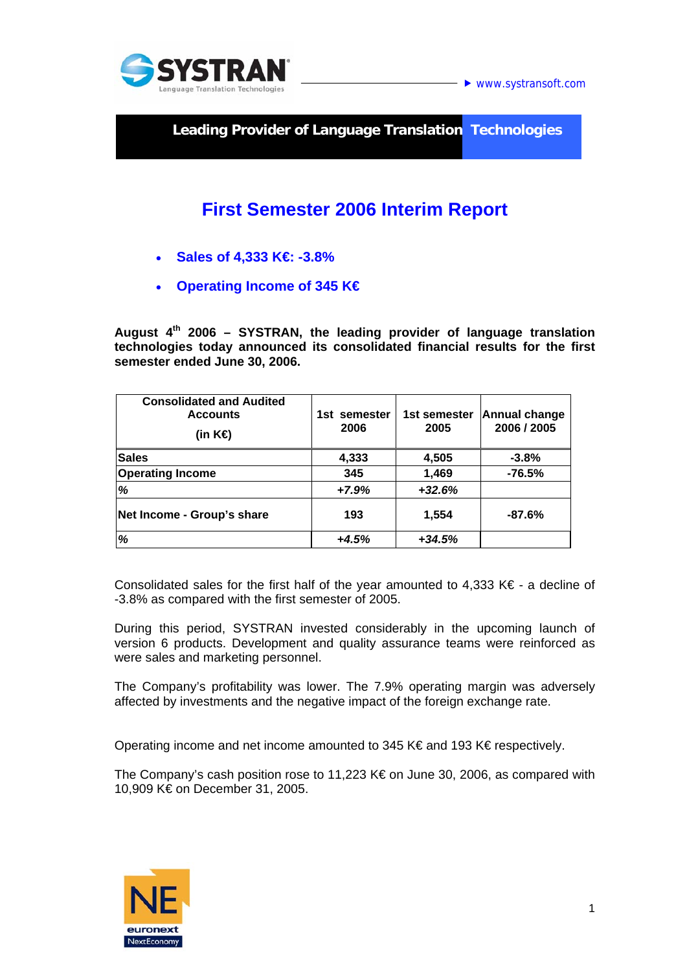

**► www.systransoft.com** 

**Leading Provider of Language Translation Technologies** 

# **First Semester 2006 Interim Report**

- **Sales of 4,333 K€: -3.8%**
- **Operating Income of 345 K€**

**August 4th 2006 – SYSTRAN, the leading provider of language translation technologies today announced its consolidated financial results for the first semester ended June 30, 2006.** 

| <b>Consolidated and Audited</b><br><b>Accounts</b><br>(in K⊖ | 1st semester<br>2006 | 1st semester<br>2005 | <b>Annual change</b><br>2006 / 2005 |
|--------------------------------------------------------------|----------------------|----------------------|-------------------------------------|
| <b>Sales</b>                                                 | 4,333                | 4,505                | $-3.8%$                             |
| <b>Operating Income</b>                                      | 345                  | 1,469                | $-76.5%$                            |
| %                                                            | $+7.9%$              | $+32.6%$             |                                     |
| Net Income - Group's share                                   | 193                  | 1,554                | $-87.6%$                            |
| %                                                            | $+4.5%$              | $+34.5%$             |                                     |

Consolidated sales for the first half of the year amounted to 4,333 K $\epsilon$  - a decline of -3.8% as compared with the first semester of 2005.

During this period, SYSTRAN invested considerably in the upcoming launch of version 6 products. Development and quality assurance teams were reinforced as were sales and marketing personnel.

The Company's profitability was lower. The 7.9% operating margin was adversely affected by investments and the negative impact of the foreign exchange rate.

Operating income and net income amounted to 345 K€ and 193 K€ respectively.

The Company's cash position rose to 11,223 K€ on June 30, 2006, as compared with 10,909 K€ on December 31, 2005.

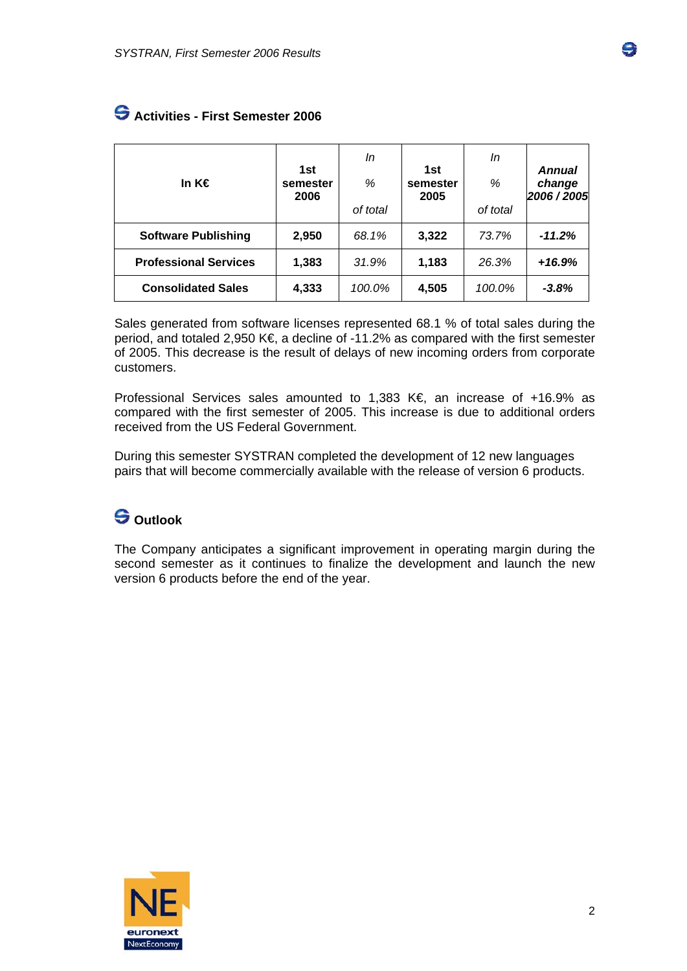| In K€                        | 1st<br>semester<br>2006 | In<br>%<br>of total | 1st<br>semester<br>2005 | In<br>%<br>of total | <b>Annual</b><br>change<br>2006 / 2005 |
|------------------------------|-------------------------|---------------------|-------------------------|---------------------|----------------------------------------|
| <b>Software Publishing</b>   | 2,950                   | 68.1%               | 3,322                   | 73.7%               | $-11.2%$                               |
| <b>Professional Services</b> | 1,383                   | 31.9%               | 1,183                   | 26.3%               | $+16.9%$                               |
| <b>Consolidated Sales</b>    | 4,333                   | 100.0%              | 4,505                   | 100.0%              | $-3.8%$                                |

#### **Activities - First Semester 2006**

Sales generated from software licenses represented 68.1 % of total sales during the period, and totaled 2,950 K€, a decline of -11.2% as compared with the first semester of 2005. This decrease is the result of delays of new incoming orders from corporate customers.

Professional Services sales amounted to 1,383 K€, an increase of +16.9% as compared with the first semester of 2005. This increase is due to additional orders received from the US Federal Government.

During this semester SYSTRAN completed the development of 12 new languages pairs that will become commercially available with the release of version 6 products.

## **Outlook**

The Company anticipates a significant improvement in operating margin during the second semester as it continues to finalize the development and launch the new version 6 products before the end of the year.

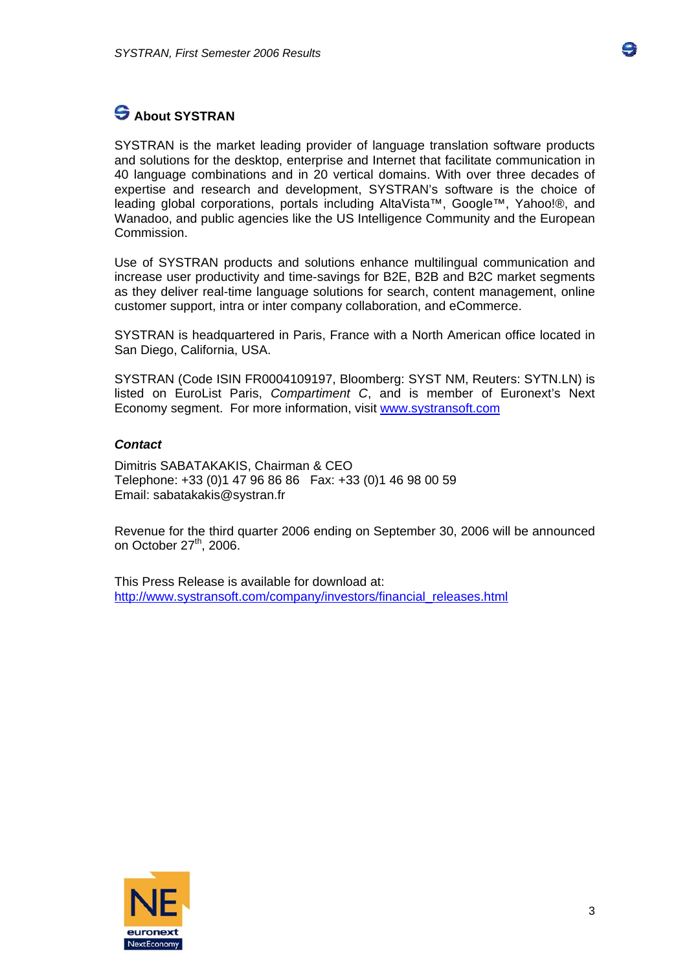

## **S** About SYSTRAN

SYSTRAN is the market leading provider of language translation software products and solutions for the desktop, enterprise and Internet that facilitate communication in 40 language combinations and in 20 vertical domains. With over three decades of expertise and research and development, SYSTRAN's software is the choice of leading global corporations, portals including AltaVista™, Google™, Yahoo!®, and Wanadoo, and public agencies like the US Intelligence Community and the European Commission.

Use of SYSTRAN products and solutions enhance multilingual communication and increase user productivity and time-savings for B2E, B2B and B2C market segments as they deliver real-time language solutions for search, content management, online customer support, intra or inter company collaboration, and eCommerce.

SYSTRAN is headquartered in Paris, France with a North American office located in San Diego, California, USA.

SYSTRAN (Code ISIN FR0004109197, Bloomberg: SYST NM, Reuters: SYTN.LN) is listed on EuroList Paris, *Compartiment C*, and is member of Euronext's Next Economy segment. For more information, visit [www.systransoft.com](http://www.systransoft.com/)

#### *Contact*

Dimitris SABATAKAKIS, Chairman & CEO Telephone: +33 (0)1 47 96 86 86 Fax: +33 (0)1 46 98 00 59 Email: sabatakakis@systran.fr

Revenue for the third quarter 2006 ending on September 30, 2006 will be announced on October 27<sup>th</sup>, 2006.

This Press Release is available for download at: [http://www.systransoft.com/company/investors/financial\\_releases.html](http://www.systransoft.com/company/investors/financial_releases.html)